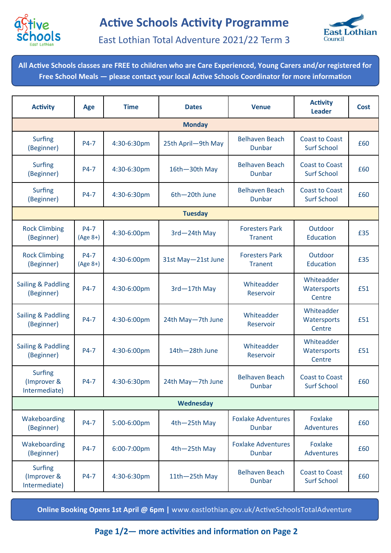



East Lothian Total Adventure 2021/22 Term 3

**All Active Schools classes are FREE to children who are Care Experienced, Young Carers and/or registered for Free School Meals — please contact your local Active Schools Coordinator for more information**

| <b>Activity</b>                                | <b>Age</b>         | <b>Time</b> | <b>Dates</b>       | <b>Venue</b>                               | <b>Activity</b><br><b>Leader</b>            | <b>Cost</b> |  |  |  |  |  |
|------------------------------------------------|--------------------|-------------|--------------------|--------------------------------------------|---------------------------------------------|-------------|--|--|--|--|--|
| <b>Monday</b>                                  |                    |             |                    |                                            |                                             |             |  |  |  |  |  |
| <b>Surfing</b><br>(Beginner)                   | P4-7               | 4:30-6:30pm | 25th April-9th May | <b>Belhaven Beach</b><br><b>Dunbar</b>     | <b>Coast to Coast</b><br><b>Surf School</b> | £60         |  |  |  |  |  |
| <b>Surfing</b><br>(Beginner)                   | P4-7               | 4:30-6:30pm | 16th-30th May      | <b>Belhaven Beach</b><br><b>Dunbar</b>     | <b>Coast to Coast</b><br><b>Surf School</b> | £60         |  |  |  |  |  |
| <b>Surfing</b><br>(Beginner)                   | P4-7               | 4:30-6:30pm | 6th-20th June      | <b>Belhaven Beach</b><br>Dunbar            | <b>Coast to Coast</b><br><b>Surf School</b> | £60         |  |  |  |  |  |
| <b>Tuesday</b>                                 |                    |             |                    |                                            |                                             |             |  |  |  |  |  |
| <b>Rock Climbing</b><br>(Beginner)             | P4-7<br>$(Age 8+)$ | 4:30-6:00pm | 3rd-24th May       | <b>Foresters Park</b><br><b>Tranent</b>    | Outdoor<br>Education                        | £35         |  |  |  |  |  |
| <b>Rock Climbing</b><br>(Beginner)             | P4-7<br>$(Age 8+)$ | 4:30-6:00pm | 31st May-21st June | <b>Foresters Park</b><br><b>Tranent</b>    | Outdoor<br>Education                        | £35         |  |  |  |  |  |
| Sailing & Paddling<br>(Beginner)               | P4-7               | 4:30-6:00pm | 3rd-17th May       | Whiteadder<br>Reservoir                    | Whiteadder<br>Watersports<br>Centre         | £51         |  |  |  |  |  |
| <b>Sailing &amp; Paddling</b><br>(Beginner)    | P4-7               | 4:30-6:00pm | 24th May-7th June  | Whiteadder<br>Reservoir                    | Whiteadder<br>Watersports<br>Centre         | £51         |  |  |  |  |  |
| Sailing & Paddling<br>(Beginner)               | P4-7               | 4:30-6:00pm | 14th-28th June     | Whiteadder<br>Reservoir                    | Whiteadder<br>Watersports<br>Centre         | £51         |  |  |  |  |  |
| <b>Surfing</b><br>(Improver &<br>Intermediate) | P4-7               | 4:30-6:30pm | 24th May-7th June  | <b>Belhaven Beach</b><br>Dunbar            | <b>Coast to Coast</b><br><b>Surf School</b> | £60         |  |  |  |  |  |
| Wednesday                                      |                    |             |                    |                                            |                                             |             |  |  |  |  |  |
| Wakeboarding<br>(Beginner)                     | P4-7               | 5:00-6:00pm | 4th-25th May       | <b>Foxlake Adventures</b><br><b>Dunbar</b> | <b>Foxlake</b><br>Adventures                | £60         |  |  |  |  |  |
| Wakeboarding<br>(Beginner)                     | P4-7               | 6:00-7:00pm | 4th-25th May       | <b>Foxlake Adventures</b><br><b>Dunbar</b> | Foxlake<br><b>Adventures</b>                | £60         |  |  |  |  |  |
| <b>Surfing</b><br>(Improver &<br>Intermediate) | P4-7               | 4:30-6:30pm | 11th-25th May      | <b>Belhaven Beach</b><br>Dunbar            | <b>Coast to Coast</b><br><b>Surf School</b> | £60         |  |  |  |  |  |

**Online Booking Opens 1st April @ 6pm |** [www.eastlothian.gov.uk/ActiveSchoolsTotalAdventure](https://eastlothian.bookinglive.com/home/active-schools/active-schools-total-adventure/)

**Page 1/2— more activities and information on Page 2**